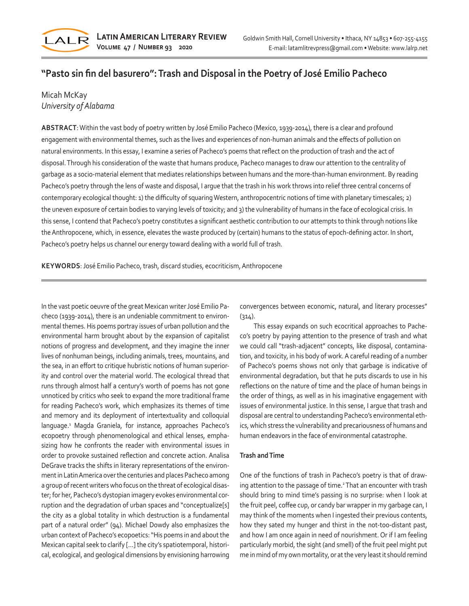

# **"Pasto sin fin del basurero": Trash and Disposal in the Poetry of José Emilio Pacheco**

## Micah McKay *University of Alabama*

**ABSTRACT**: Within the vast body of poetry written by José Emilio Pacheco (Mexico, 1939-2014), there is a clear and profound engagement with environmental themes, such as the lives and experiences of non-human animals and the effects of pollution on natural environments. In this essay, I examine a series of Pacheco's poems that reflect on the production of trash and the act of disposal. Through his consideration of the waste that humans produce, Pacheco manages to draw our attention to the centrality of garbage as a socio-material element that mediates relationships between humans and the more-than-human environment. By reading Pacheco's poetry through the lens of waste and disposal, I argue that the trash in his work throws into relief three central concerns of contemporary ecological thought: 1) the difficulty of squaring Western, anthropocentric notions of time with planetary timescales; 2) the uneven exposure of certain bodies to varying levels of toxicity; and 3) the vulnerability of humans in the face of ecological crisis. In this sense, I contend that Pacheco's poetry constitutes a significant aesthetic contribution to our attempts to think through notions like the Anthropocene, which, in essence, elevates the waste produced by (certain) humans to the status of epoch-defining actor. In short, Pacheco's poetry helps us channel our energy toward dealing with a world full of trash.

**KEYWORDS**: José Emilio Pacheco, trash, discard studies, ecocriticism, Anthropocene

In the vast poetic oeuvre of the great Mexican writer José Emilio Pacheco (1939-2014), there is an undeniable commitment to environmental themes. His poems portray issues of urban pollution and the environmental harm brought about by the expansion of capitalist notions of progress and development, and they imagine the inner lives of nonhuman beings, including animals, trees, mountains, and the sea, in an effort to critique hubristic notions of human superiority and control over the material world. The ecological thread that runs through almost half a century's worth of poems has not gone unnoticed by critics who seek to expand the more traditional frame for reading Pacheco's work, which emphasizes its themes of time and memory and its deployment of intertextuality and colloquial language.<sup>1</sup> Magda Graniela, for instance, approaches Pacheco's ecopoetry through phenomenological and ethical lenses, emphasizing how he confronts the reader with environmental issues in order to provoke sustained reflection and concrete action. Analisa DeGrave tracks the shifts in literary representations of the environment in Latin America over the centuries and places Pacheco among a group of recent writers who focus on the threat of ecological disaster; for her, Pacheco's dystopian imagery evokes environmental corruption and the degradation of urban spaces and "conceptualize[s] the city as a global totality in which destruction is a fundamental part of a natural order" (94). Michael Dowdy also emphasizes the urban context of Pacheco's ecopoetics: "His poems in and about the Mexican capital seek to clarify […] the city's spatiotemporal, historical, ecological, and geological dimensions by envisioning harrowing

convergences between economic, natural, and literary processes"  $(314)$ .

This essay expands on such ecocritical approaches to Pacheco's poetry by paying attention to the presence of trash and what we could call "trash-adjacent" concepts, like disposal, contamination, and toxicity, in his body of work. A careful reading of a number of Pacheco's poems shows not only that garbage is indicative of environmental degradation, but that he puts discards to use in his reflections on the nature of time and the place of human beings in the order of things, as well as in his imaginative engagement with issues of environmental justice. In this sense, I argue that trash and disposal are central to understanding Pacheco's environmental ethics, which stress the vulnerability and precariousness of humans and human endeavors in the face of environmental catastrophe.

### **Trash and Time**

One of the functions of trash in Pacheco's poetry is that of drawing attention to the passage of time.<sup>2</sup> That an encounter with trash should bring to mind time's passing is no surprise: when I look at the fruit peel, coffee cup, or candy bar wrapper in my garbage can, I may think of the moments when I ingested their previous contents, how they sated my hunger and thirst in the not-too-distant past, and how I am once again in need of nourishment. Or if I am feeling particularly morbid, the sight (and smell) of the fruit peel might put me in mind of my own mortality, or at the very least it should remind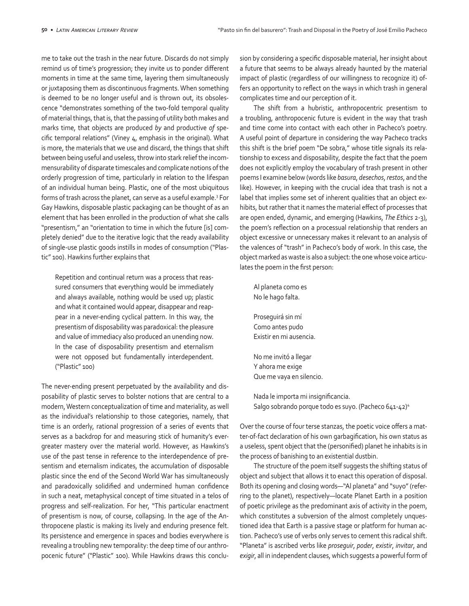me to take out the trash in the near future. Discards do not simply remind us of time's progression; they invite us to ponder different moments in time at the same time, layering them simultaneously or juxtaposing them as discontinuous fragments. When something is deemed to be no longer useful and is thrown out, its obsolescence "demonstrates something of the two-fold temporal quality of material things, that is, that the passing of utility both makes and marks time, that objects are produced *by* and productive *of* specific temporal relations" (Viney  $4$ , emphasis in the original). What is more, the materials that we use and discard, the things that shift between being useful and useless, throw into stark relief the incommensurability of disparate timescales and complicate notions of the orderly progression of time, particularly in relation to the lifespan of an individual human being. Plastic, one of the most ubiquitous forms of trash across the planet, can serve as a useful example.3 For Gay Hawkins, disposable plastic packaging can be thought of as an element that has been enrolled in the production of what she calls "presentism," an "orientation to time in which the future [is] completely denied" due to the iterative logic that the ready availability of single-use plastic goods instills in modes of consumption ("Plastic" 100). Hawkins further explains that

Repetition and continual return was a process that reassured consumers that everything would be immediately and always available, nothing would be used up; plastic and what it contained would appear, disappear and reappear in a never-ending cyclical pattern. In this way, the presentism of disposability was paradoxical: the pleasure and value of immediacy also produced an unending now. In the case of disposability presentism and eternalism were not opposed but fundamentally interdependent. ("Plastic" 100)

The never-ending present perpetuated by the availability and disposability of plastic serves to bolster notions that are central to a modern, Western conceptualization of time and materiality, as well as the individual's relationship to those categories, namely, that time is an orderly, rational progression of a series of events that serves as a backdrop for and measuring stick of humanity's evergreater mastery over the material world. However, as Hawkins's use of the past tense in reference to the interdependence of presentism and eternalism indicates, the accumulation of disposable plastic since the end of the Second World War has simultaneously and paradoxically solidified and undermined human confidence in such a neat, metaphysical concept of time situated in a telos of progress and self-realization. For her, "This particular enactment of presentism is now, of course, collapsing. In the age of the Anthropocene plastic is making its lively and enduring presence felt. Its persistence and emergence in spaces and bodies everywhere is revealing a troubling new temporality: the deep time of our anthropocenic future" ("Plastic" 100). While Hawkins draws this conclusion by considering a specific disposable material, her insight about a future that seems to be always already haunted by the material impact of plastic (regardless of our willingness to recognize it) offers an opportunity to reflect on the ways in which trash in general complicates time and our perception of it.

The shift from a hubristic, anthropocentric presentism to a troubling, anthropocenic future is evident in the way that trash and time come into contact with each other in Pacheco's poetry. A useful point of departure in considering the way Pacheco tracks this shift is the brief poem "De sobra," whose title signals its relationship to excess and disposability, despite the fact that the poem does not explicitly employ the vocabulary of trash present in other poems I examine below (words like *basura*, *desechos*, *restos*, and the like). However, in keeping with the crucial idea that trash is not a label that implies some set of inherent qualities that an object exhibits, but rather that it names the material effect of processes that are open ended, dynamic, and emerging (Hawkins, *The Ethics* 2-3), the poem's reflection on a processual relationship that renders an object excessive or unnecessary makes it relevant to an analysis of the valences of "trash" in Pacheco's body of work. In this case, the object marked as waste is also a subject: the one whose voice articulates the poem in the first person:

Al planeta como es No le hago falta. Proseguirá sin mí Como antes pudo Existir en mi ausencia.

No me invitó a llegar Y ahora me exige Que me vaya en silencio.

Nada le importa mi insignificancia. Salgo sobrando porque todo es suyo. (Pacheco 641-42)4

Over the course of four terse stanzas, the poetic voice offers a matter-of-fact declaration of his own garbagification, his own status as a useless, spent object that the (personified) planet he inhabits is in the process of banishing to an existential dustbin.

The structure of the poem itself suggests the shifting status of object and subject that allows it to enact this operation of disposal. Both its opening and closing words—"Al planeta" and "suyo" (referring to the planet), respectively—locate Planet Earth in a position of poetic privilege as the predominant axis of activity in the poem, which constitutes a subversion of the almost completely unquestioned idea that Earth is a passive stage or platform for human action. Pacheco's use of verbs only serves to cement this radical shift. "Planeta" is ascribed verbs like *proseguir*, *poder*, *existir*, *invitar*, and *exigir*, all in independent clauses, which suggests a powerful form of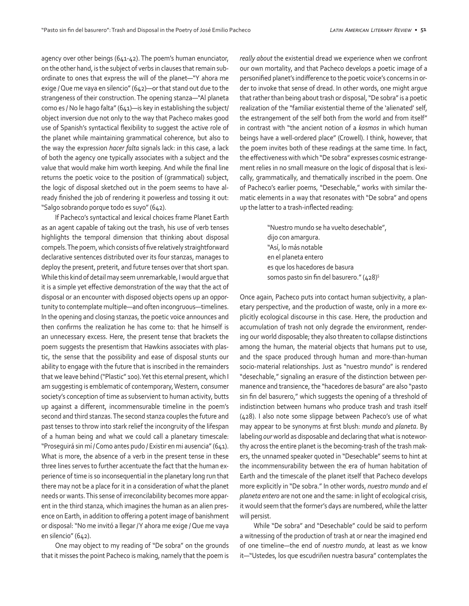agency over other beings (641-42). The poem's human enunciator, on the other hand, is the subject of verbs in clauses that remain subordinate to ones that express the will of the planet—"Y ahora me exige / Que me vaya en silencio" (642)—or that stand out due to the strangeness of their construction. The opening stanza—"Al planeta como es / No le hago falta" (641)—is key in establishing the subject/ object inversion due not only to the way that Pacheco makes good use of Spanish's syntactical flexibility to suggest the active role of the planet while maintaining grammatical coherence, but also to the way the expression *hacer falta* signals lack: in this case, a lack of both the agency one typically associates with a subject and the value that would make him worth keeping. And while the final line returns the poetic voice to the position of (grammatical) subject, the logic of disposal sketched out in the poem seems to have already finished the job of rendering it powerless and tossing it out: "Salgo sobrando porque todo es suyo" (642).

If Pacheco's syntactical and lexical choices frame Planet Earth as an agent capable of taking out the trash, his use of verb tenses highlights the temporal dimension that thinking about disposal compels. The poem, which consists of five relatively straightforward declarative sentences distributed over its four stanzas, manages to deploy the present, preterit, and future tenses over that short span. While this kind of detail may seem unremarkable, I would argue that it is a simple yet effective demonstration of the way that the act of disposal or an encounter with disposed objects opens up an opportunity to contemplate multiple—and often incongruous—timelines. In the opening and closing stanzas, the poetic voice announces and then confirms the realization he has come to: that he himself is an unnecessary excess. Here, the present tense that brackets the poem suggests the presentism that Hawkins associates with plastic, the sense that the possibility and ease of disposal stunts our ability to engage with the future that is inscribed in the remainders that we leave behind ("Plastic" 100). Yet this eternal present, which I am suggesting is emblematic of contemporary, Western, consumer society's conception of time as subservient to human activity, butts up against a different, incommensurable timeline in the poem's second and third stanzas. The second stanza couples the future and past tenses to throw into stark relief the incongruity of the lifespan of a human being and what we could call a planetary timescale: "Proseguirá sin mí / Como antes pudo / Existir en mi ausencia" (641). What is more, the absence of a verb in the present tense in these three lines serves to further accentuate the fact that the human experience of time is so inconsequential in the planetary long run that there may not be a place for it in a consideration of what the planet needs or wants. This sense of irreconcilability becomes more apparent in the third stanza, which imagines the human as an alien presence on Earth, in addition to offering a potent image of banishment or disposal: "No me invitó a llegar / Y ahora me exige / Que me vaya en silencio" (642).

One may object to my reading of "De sobra" on the grounds that it misses the point Pacheco is making, namely that the poem is

*really about* the existential dread we experience when we confront our own mortality, and that Pacheco develops a poetic image of a personified planet's indifference to the poetic voice's concerns in order to invoke that sense of dread. In other words, one might argue that rather than being about trash or disposal, "De sobra" is a poetic realization of the "familiar existential theme of the 'alienated' self, the estrangement of the self both from the world and from itself" in contrast with "the ancient notion of a *kosmos* in which human beings have a well-ordered place" (Crowell). I think, however, that the poem invites both of these readings at the same time. In fact, the effectiveness with which "De sobra" expresses cosmic estrangement relies in no small measure on the logic of disposal that is lexically, grammatically, and thematically inscribed in the poem. One of Pacheco's earlier poems, "Desechable," works with similar thematic elements in a way that resonates with "De sobra" and opens up the latter to a trash-inflected reading:

> "Nuestro mundo se ha vuelto desechable", dijo con amargura. "Así, lo más notable en el planeta entero es que los hacedores de basura somos pasto sin fin del basurero." (428)<sup>5</sup>

Once again, Pacheco puts into contact human subjectivity, a planetary perspective, and the production of waste, only in a more explicitly ecological discourse in this case. Here, the production and accumulation of trash not only degrade the environment, rendering our world disposable; they also threaten to collapse distinctions among the human, the material objects that humans put to use, and the space produced through human and more-than-human socio-material relationships. Just as "nuestro mundo" is rendered "desechable," signaling an erasure of the distinction between permanence and transience, the "hacedores de basura" are also "pasto sin fin del basurero," which suggests the opening of a threshold of indistinction between humans who produce trash and trash itself (428). I also note some slippage between Pacheco's use of what may appear to be synonyms at first blush: *mundo* and *planeta*. By labeling *our* world as disposable and declaring that what is noteworthy across the entire planet is the becoming-trash of the trash makers, the unnamed speaker quoted in "Desechable" seems to hint at the incommensurability between the era of human habitation of Earth and the timescale of the planet itself that Pacheco develops more explicitly in "De sobra." In other words, *nuestro mundo* and *el planeta entero* are not one and the same: in light of ecological crisis, it would seem that the former's days are numbered, while the latter will persist.

While "De sobra" and "Desechable" could be said to perform a witnessing of the production of trash at or near the imagined end of one timeline—the end of *nuestro mundo*, at least as we know it—"Ustedes, los que escudriñen nuestra basura" contemplates the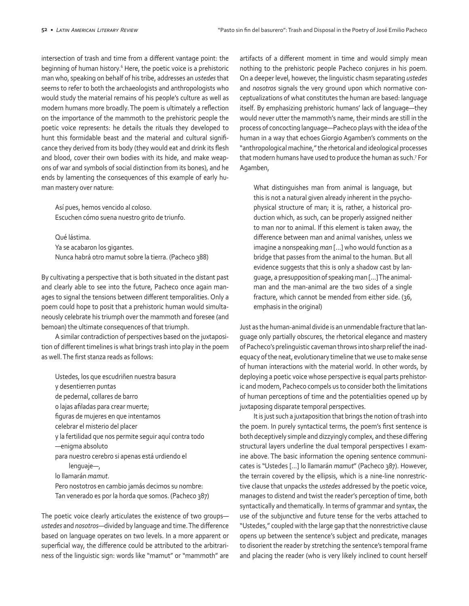intersection of trash and time from a different vantage point: the beginning of human history.<sup>6</sup> Here, the poetic voice is a prehistoric man who, speaking on behalf of his tribe, addresses an *ustedes* that seems to refer to both the archaeologists and anthropologists who would study the material remains of his people's culture as well as modern humans more broadly. The poem is ultimately a reflection on the importance of the mammoth to the prehistoric people the poetic voice represents: he details the rituals they developed to hunt this formidable beast and the material and cultural significance they derived from its body (they would eat and drink its flesh and blood, cover their own bodies with its hide, and make weapons of war and symbols of social distinction from its bones), and he ends by lamenting the consequences of this example of early human mastery over nature:

Así pues, hemos vencido al coloso. Escuchen cómo suena nuestro grito de triunfo.

Qué lástima. Ya se acabaron los gigantes. Nunca habrá otro mamut sobre la tierra. (Pacheco 388)

By cultivating a perspective that is both situated in the distant past and clearly able to see into the future, Pacheco once again manages to signal the tensions between different temporalities. Only a poem could hope to posit that a prehistoric human would simultaneously celebrate his triumph over the mammoth and foresee (and bemoan) the ultimate consequences of that triumph.

A similar contradiction of perspectives based on the juxtaposition of different timelines is what brings trash into play in the poem as well. The first stanza reads as follows:

Ustedes, los que escudriñen nuestra basura y desentierren puntas de pedernal, collares de barro o lajas afiladas para crear muerte; figuras de mujeres en que intentamos celebrar el misterio del placer y la fertilidad que nos permite seguir aquí contra todo —enigma absoluto para nuestro cerebro si apenas está urdiendo el lenguaje—, lo llamarán *mamut*. Pero nostotros en cambio jamás decimos su nombre: Tan venerado es por la horda que somos. (Pacheco 387)

The poetic voice clearly articulates the existence of two groups *ustedes* and *nosotros*—divided by language and time. The difference based on language operates on two levels. In a more apparent or superficial way, the difference could be attributed to the arbitrariness of the linguistic sign: words like "mamut" or "mammoth" are artifacts of a different moment in time and would simply mean nothing to the prehistoric people Pacheco conjures in his poem. On a deeper level, however, the linguistic chasm separating *ustedes* and *nosotros* signals the very ground upon which normative conceptualizations of what constitutes the human are based: language itself. By emphasizing prehistoric humans' lack of language—they would never utter the mammoth's name, their minds are still in the process of concocting language—Pacheco plays with the idea of the human in a way that echoes Giorgio Agamben's comments on the "anthropological machine," the rhetorical and ideological processes that modern humans have used to produce the human as such.7 For Agamben,

What distinguishes man from animal is language, but this is not a natural given already inherent in the psychophysical structure of man; it is, rather, a historical production which, as such, can be properly assigned neither to man nor to animal. If this element is taken away, the difference between man and animal vanishes, unless we imagine a nonspeaking *man* […] who would function as a bridge that passes from the animal to the human. But all evidence suggests that this is only a shadow cast by language, a presupposition of speaking man […] The animalman and the man-animal are the two sides of a single fracture, which cannot be mended from either side. (36, emphasis in the original)

Just as the human-animal divide is an unmendable fracture that language only partially obscures, the rhetorical elegance and mastery of Pacheco's prelinguistic caveman throws into sharp relief the inadequacy of the neat, evolutionary timeline that we use to make sense of human interactions with the material world. In other words, by deploying a poetic voice whose perspective is equal parts prehistoric and modern, Pacheco compels us to consider both the limitations of human perceptions of time and the potentialities opened up by juxtaposing disparate temporal perspectives.

It is just such a juxtaposition that brings the notion of trash into the poem. In purely syntactical terms, the poem's first sentence is both deceptively simple and dizzyingly complex, and these differing structural layers underline the dual temporal perspectives I examine above. The basic information the opening sentence communicates is "Ustedes […] lo llamarán *mamut*" (Pacheco 387). However, the terrain covered by the ellipsis, which is a nine-line nonrestrictive clause that unpacks the *ustedes* addressed by the poetic voice, manages to distend and twist the reader's perception of time, both syntactically and thematically. In terms of grammar and syntax, the use of the subjunctive and future tense for the verbs attached to "Ustedes," coupled with the large gap that the nonrestrictive clause opens up between the sentence's subject and predicate, manages to disorient the reader by stretching the sentence's temporal frame and placing the reader (who is very likely inclined to count herself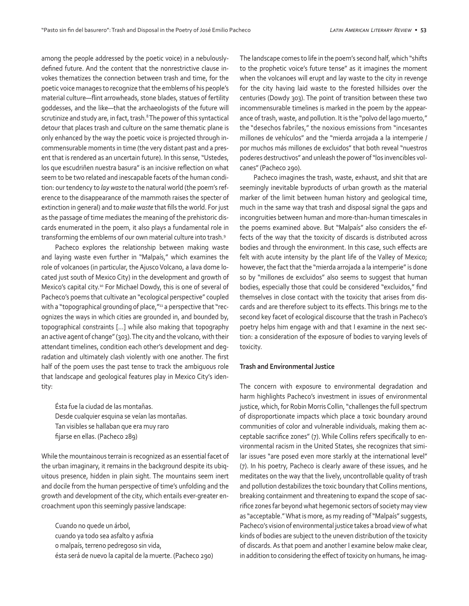among the people addressed by the poetic voice) in a nebulouslydefined future. And the content that the nonrestrictive clause invokes thematizes the connection between trash and time, for the poetic voice manages to recognize that the emblems of his people's material culture—flint arrowheads, stone blades, statues of fertility goddesses, and the like—that the archaeologists of the future will scrutinize and study are, in fact, trash.<sup>8</sup> The power of this syntactical detour that places trash and culture on the same thematic plane is only enhanced by the way the poetic voice is projected through incommensurable moments in time (the very distant past and a present that is rendered as an uncertain future). In this sense, "Ustedes, los que escudriñen nuestra basura" is an incisive reflection on what seem to be two related and inescapable facets of the human condition: our tendency to *lay waste* to the natural world (the poem's reference to the disappearance of the mammoth raises the specter of extinction in general) and to *make waste* that fills the world. For just as the passage of time mediates the meaning of the prehistoric discards enumerated in the poem, it also plays a fundamental role in transforming the emblems of our own material culture into trash.9

Pacheco explores the relationship between making waste and laying waste even further in "Malpaís," which examines the role of volcanoes (in particular, the Ajusco Volcano, a lava dome located just south of Mexico City) in the development and growth of Mexico's capital city.<sup>10</sup> For Michael Dowdy, this is one of several of Pacheco's poems that cultivate an "ecological perspective" coupled with a "topographical grounding of place,"<sup>11</sup> a perspective that "recognizes the ways in which cities are grounded in, and bounded by, topographical constraints […] while also making that topography an active agent of change" (303). The city and the volcano, with their attendant timelines, condition each other's development and degradation and ultimately clash violently with one another. The first half of the poem uses the past tense to track the ambiguous role that landscape and geological features play in Mexico City's identity:

Ésta fue la ciudad de las montañas. Desde cualquier esquina se veían las montañas. Tan visibles se hallaban que era muy raro fijarse en ellas. (Pacheco 289)

While the mountainous terrain is recognized as an essential facet of the urban imaginary, it remains in the background despite its ubiquitous presence, hidden in plain sight. The mountains seem inert and docile from the human perspective of time's unfolding and the growth and development of the city, which entails ever-greater encroachment upon this seemingly passive landscape:

Cuando no quede un árbol, cuando ya todo sea asfalto y asfixia o malpaís, terreno pedregoso sin vida, ésta será de nuevo la capital de la muerte. (Pacheco 290) The landscape comes to life in the poem's second half, which "shifts to the prophetic voice's future tense" as it imagines the moment when the volcanoes will erupt and lay waste to the city in revenge for the city having laid waste to the forested hillsides over the centuries (Dowdy 303). The point of transition between these two incommensurable timelines is marked in the poem by the appearance of trash, waste, and pollution. It is the "polvo del lago muerto," the "desechos fabriles," the noxious emissions from "incesantes millones de vehículos" and the "mierda arrojada a la intemperie / por muchos más millones de excluidos" that both reveal "nuestros poderes destructivos" and unleash the power of "los invencibles volcanes" (Pacheco 290).

Pacheco imagines the trash, waste, exhaust, and shit that are seemingly inevitable byproducts of urban growth as the material marker of the limit between human history and geological time, much in the same way that trash and disposal signal the gaps and incongruities between human and more-than-human timescales in the poems examined above. But "Malpaís" also considers the effects of the way that the toxicity of discards is distributed across bodies and through the environment. In this case, such effects are felt with acute intensity by the plant life of the Valley of Mexico; however, the fact that the "mierda arrojada a la intemperie" is done so by "millones de excluidos" also seems to suggest that human bodies, especially those that could be considered "excluidos," find themselves in close contact with the toxicity that arises from discards and are therefore subject to its effects. This brings me to the second key facet of ecological discourse that the trash in Pacheco's poetry helps him engage with and that I examine in the next section: a consideration of the exposure of bodies to varying levels of toxicity.

#### **Trash and Environmental Justice**

The concern with exposure to environmental degradation and harm highlights Pacheco's investment in issues of environmental justice, which, for Robin Morris Collin, "challenges the full spectrum of disproportionate impacts which place a toxic boundary around communities of color and vulnerable individuals, making them acceptable sacrifice zones" (7). While Collins refers specifically to environmental racism in the United States, she recognizes that similar issues "are posed even more starkly at the international level" (7). In his poetry, Pacheco is clearly aware of these issues, and he meditates on the way that the lively, uncontrollable quality of trash and pollution destabilizes the toxic boundary that Collins mentions, breaking containment and threatening to expand the scope of sacrifice zones far beyond what hegemonic sectors of society may view as "acceptable." What is more, as my reading of "Malpaís" suggests, Pacheco's vision of environmental justice takes a broad view of what kinds of bodies are subject to the uneven distribution of the toxicity of discards. As that poem and another I examine below make clear, in addition to considering the effect of toxicity on humans, he imag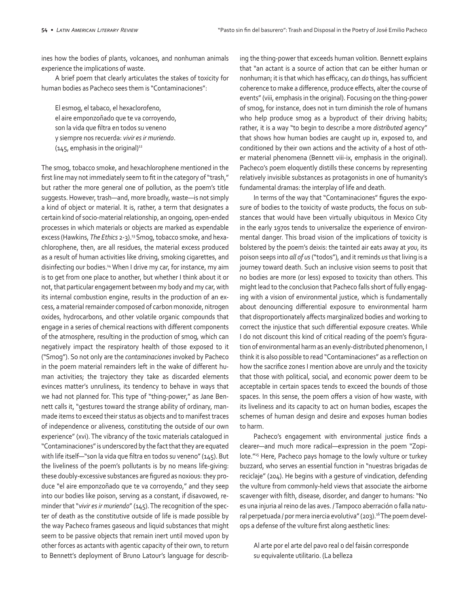ines how the bodies of plants, volcanoes, and nonhuman animals experience the implications of waste.

A brief poem that clearly articulates the stakes of toxicity for human bodies as Pacheco sees them is "Contaminaciones":

El esmog, el tabaco, el hexaclorofeno, el aire emponzoñado que te va corroyendo, son la vida que filtra en todos su veneno y siempre nos recuerda: *vivir es ir muriendo*.  $(145,$  emphasis in the original)<sup>12</sup>

The smog, tobacco smoke, and hexachlorophene mentioned in the first line may not immediately seem to fit in the category of "trash," but rather the more general one of pollution, as the poem's title suggests. However, trash—and, more broadly, waste—is not simply a kind of object or material. It is, rather, a term that designates a certain kind of socio-material relationship, an ongoing, open-ended processes in which materials or objects are marked as expendable excess (Hawkins, *The Ethics* 2-3).<sup>13</sup> Smog, tobacco smoke, and hexachlorophene, then, are all residues, the material excess produced as a result of human activities like driving, smoking cigarettes, and disinfecting our bodies.14 When I drive my car, for instance, my aim is to get from one place to another, but whether I think about it or not, that particular engagement between my body and my car, with its internal combustion engine, results in the production of an excess, a material remainder composed of carbon monoxide, nitrogen oxides, hydrocarbons, and other volatile organic compounds that engage in a series of chemical reactions with different components of the atmosphere, resulting in the production of smog, which can negatively impact the respiratory health of those exposed to it ("Smog"). So not only are the *contaminaciones* invoked by Pacheco in the poem material remainders left in the wake of different human activities; the trajectory they take as discarded elements evinces matter's unruliness, its tendency to behave in ways that we had not planned for. This type of "thing-power," as Jane Bennett calls it, "gestures toward the strange ability of ordinary, manmade items to exceed their status as objects and to manifest traces of independence or aliveness, constituting the outside of our own experience" (xvi). The vibrancy of the toxic materials catalogued in "Contaminaciones" is underscored by the fact that they are equated with life itself—"son la vida que filtra en todos su veneno" (145). But the liveliness of the poem's pollutants is by no means life-giving: these doubly-excessive substances are figured as noxious: they produce "el aire emponzoñado que te va corroyendo," and they seep into our bodies like poison, serving as a constant, if disavowed, reminder that "*vivir es ir muriendo*" (145). The recognition of the specter of death as the constitutive outside of life is made possible by the way Pacheco frames gaseous and liquid substances that might seem to be passive objects that remain inert until moved upon by other forces as actants with agentic capacity of their own, to return to Bennett's deployment of Bruno Latour's language for describing the thing-power that exceeds human volition. Bennett explains that "an actant is a source of action that can be either human or nonhuman; it is that which has efficacy, can *do* things, has sufficient coherence to make a difference, produce effects, alter the course of events" (viii, emphasis in the original). Focusing on the thing-power of smog, for instance, does not in turn diminish the role of humans who help produce smog as a byproduct of their driving habits; rather, it is a way "to begin to describe a more *distributed* agency" that shows how human bodies are caught up in, exposed to, and conditioned by their own actions and the activity of a host of other material phenomena (Bennett viii-ix, emphasis in the original). Pacheco's poem eloquently distills these concerns by representing relatively invisible substances as protagonists in one of humanity's fundamental dramas: the interplay of life and death.

In terms of the way that "Contaminaciones" figures the exposure of bodies to the toxicity of waste products, the focus on substances that would have been virtually ubiquitous in Mexico City in the early 1970s tends to universalize the experience of environmental danger. This broad vision of the implications of toxicity is bolstered by the poem's deixis: the tainted air eats away at *you*, its poison seeps into *all of us* ("todos"), and it reminds *us* that living is a journey toward death. Such an inclusive vision seems to posit that no bodies are more (or less) exposed to toxicity than others. This might lead to the conclusion that Pacheco falls short of fully engaging with a vision of environmental justice, which is fundamentally about denouncing differential exposure to environmental harm that disproportionately affects marginalized bodies and working to correct the injustice that such differential exposure creates. While I do not discount this kind of critical reading of the poem's figuration of environmental harm as an evenly-distributed phenomenon, I think it is also possible to read "Contaminaciones" as a reflection on how the sacrifice zones I mention above are unruly and the toxicity that those with political, social, and economic power deem to be acceptable in certain spaces tends to exceed the bounds of those spaces. In this sense, the poem offers a vision of how waste, with its liveliness and its capacity to act on human bodies, escapes the schemes of human design and desire and exposes human bodies to harm.

Pacheco's engagement with environmental justice finds a clearer—and much more radical—expression in the poem "Zopilote."<sup>15</sup> Here, Pacheco pays homage to the lowly vulture or turkey buzzard, who serves an essential function in "nuestras brigadas de reciclaje" (204). He begins with a gesture of vindication, defending the vulture from commonly-held views that associate the airborne scavenger with filth, disease, disorder, and danger to humans: "No es una injuria al reino de las aves. / Tampoco aberración o falla natural perpetuada / por mera inercia evolutiva" (203).<sup>16</sup> The poem develops a defense of the vulture first along aesthetic lines:

Al arte por el arte del pavo real o del faisán corresponde su equivalente utilitario. (La belleza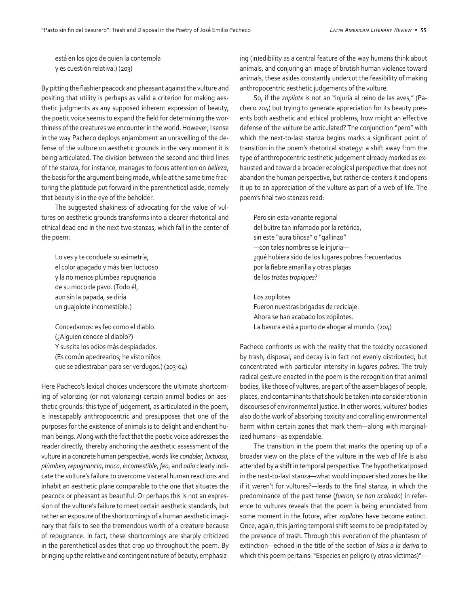está en los ojos de quien la contempla y es cuestión relativa.) (203)

By pitting the flashier peacock and pheasant against the vulture and positing that utility is perhaps as valid a criterion for making aesthetic judgments as any supposed inherent expression of beauty, the poetic voice seems to expand the field for determining the worthiness of the creatures we encounter in the world. However, I sense in the way Pacheco deploys enjambment an unravelling of the defense of the vulture on aesthetic grounds in the very moment it is being articulated. The division between the second and third lines of the stanza, for instance, manages to focus attention on *belleza*, the basis for the argument being made, while at the same time fracturing the platitude put forward in the parenthetical aside, namely that beauty is in the eye of the beholder.

The suggested shakiness of advocating for the value of vultures on aesthetic grounds transforms into a clearer rhetorical and ethical dead end in the next two stanzas, which fall in the center of the poem:

Lo ves y te conduele su asimetría, el color apagado y más bien luctuoso y la no menos plúmbea repugnancia de su moco de pavo. (Todo él, aun sin la papada, se diría un guajolote incomestible.)

Concedamos: es feo como el diablo. (¿Alguien conoce al diablo?) Y suscita los odios más despiadados. (Es común apedrearlos; he visto niños que se adiestraban para ser verdugos.) (203-04)

Here Pacheco's lexical choices underscore the ultimate shortcoming of valorizing (or not valorizing) certain animal bodies on aesthetic grounds: this type of judgement, as articulated in the poem, is inescapably anthropocentric and presupposes that one of the purposes for the existence of animals is to delight and enchant human beings. Along with the fact that the poetic voice addresses the reader directly, thereby anchoring the aesthetic assessment of the vulture in a concrete human perspective, words like *condoler*, *luctuoso*, *plúmbeo*, *repugnancia*, *moco*, *incomestible*, *feo*, and *odio* clearly indicate the vulture's failure to overcome visceral human reactions and inhabit an aesthetic plane comparable to the one that situates the peacock or pheasant as beautiful. Or perhaps this is not an expression of the vulture's failure to meet certain aesthetic standards, but rather an exposure of the shortcomings of a human aesthetic imaginary that fails to see the tremendous worth of a creature because of repugnance. In fact, these shortcomings are sharply criticized in the parenthetical asides that crop up throughout the poem. By bringing up the relative and contingent nature of beauty, emphasizing (in)edibility as a central feature of the way humans think about animals, and conjuring an image of brutish human violence toward animals, these asides constantly undercut the feasibility of making anthropocentric aesthetic judgements of the vulture.

So, if the *zopilote* is not an "injuria al reino de las aves," (Pacheco 204) but trying to generate appreciation for its beauty presents both aesthetic and ethical problems, how might an effective defense of the vulture be articulated? The conjunction "pero" with which the next-to-last stanza begins marks a significant point of transition in the poem's rhetorical strategy: a shift away from the type of anthropocentric aesthetic judgement already marked as exhausted and toward a broader ecological perspective that does not abandon the human perspective, but rather de-centers it and opens it up to an appreciation of the vulture as part of a web of life. The poem's final two stanzas read:

Pero sin esta variante regional del buitre tan infamado por la retórica, sin este "aura tiñosa" o "gallinzo" —con tales nombres se le injuria— ¿qué hubiera sido de los lugares pobres frecuentados por la fiebre amarilla y otras plagas de los *tristes tropiques*?

Los zopilotes Fueron nuestras brigadas de reciclaje. Ahora se han acabado los zopilotes. La basura está a punto de ahogar al mundo. (204)

Pacheco confronts us with the reality that the toxicity occasioned by trash, disposal, and decay is in fact not evenly distributed, but concentrated with particular intensity in *lugares pobres*. The truly radical gesture enacted in the poem is the recognition that animal bodies, like those of vultures, are part of the assemblages of people, places, and contaminants that should be taken into consideration in discourses of environmental justice. In other words, vultures' bodies also do the work of absorbing toxicity and corralling environmental harm within certain zones that mark them—along with marginalized humans—as expendable.

The transition in the poem that marks the opening up of a broader view on the place of the vulture in the web of life is also attended by a shift in temporal perspective. The hypothetical posed in the next-to-last stanza—what would impoverished zones be like if it weren't for vultures?—leads to the final stanza, in which the predominance of the past tense (*fueron*, *se han acabado*) in reference to vultures reveals that the poem is being enunciated from some moment in the future, after *zopilotes* have become extinct. Once, again, this jarring temporal shift seems to be precipitated by the presence of trash. Through this evocation of the phantasm of extinction—echoed in the title of the section of *Islas a la deriva* to which this poem pertains: "Especies en peligro (y otras víctimas)"—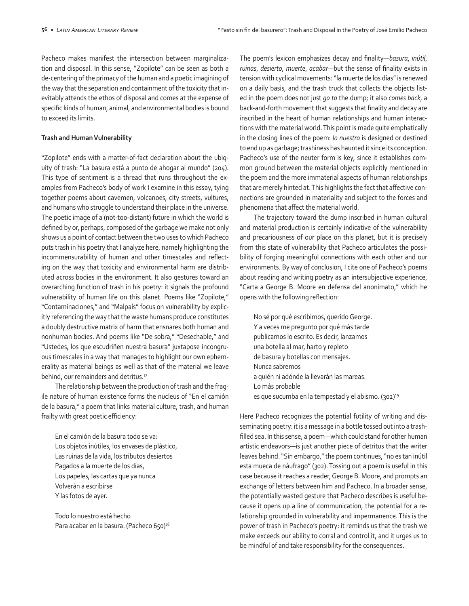Pacheco makes manifest the intersection between marginalization and disposal. In this sense, "Zopilote" can be seen as both a de-centering of the primacy of the human and a poetic imagining of the way that the separation and containment of the toxicity that inevitably attends the ethos of disposal and comes at the expense of specific kinds of human, animal, and environmental bodies is bound to exceed its limits.

#### **Trash and Human Vulnerability**

"Zopilote" ends with a matter-of-fact declaration about the ubiquity of trash: "La basura está a punto de ahogar al mundo" (204). This type of sentiment is a thread that runs throughout the examples from Pacheco's body of work I examine in this essay, tying together poems about cavemen, volcanoes, city streets, vultures, and humans who struggle to understand their place in the universe. The poetic image of a (not-too-distant) future in which the world is defined by or, perhaps, composed of the garbage we make not only shows us a point of contact between the two uses to which Pacheco puts trash in his poetry that I analyze here, namely highlighting the incommensurability of human and other timescales and reflecting on the way that toxicity and environmental harm are distributed across bodies in the environment. It also gestures toward an overarching function of trash in his poetry: it signals the profound vulnerability of human life on this planet. Poems like "Zopilote," "Contaminaciones," and "Malpaís" focus on vulnerability by explicitly referencing the way that the waste humans produce constitutes a doubly destructive matrix of harm that ensnares both human and nonhuman bodies. And poems like "De sobra," "Desechable," and "Ustedes, los que escudriñen nuestra basura" juxtapose incongruous timescales in a way that manages to highlight our own ephemerality as material beings as well as that of the material we leave behind, our remainders and detritus.<sup>17</sup>

The relationship between the production of trash and the fragile nature of human existence forms the nucleus of "En el camión de la basura," a poem that links material culture, trash, and human frailty with great poetic efficiency:

En el camión de la basura todo se va: Los objetos inútiles, los envases de plástico, Las ruinas de la vida, los tributos desiertos Pagados a la muerte de los días, Los papeles, las cartas que ya nunca Volverán a escribirse Y las fotos de ayer.

Todo lo nuestro está hecho Para acabar en la basura. (Pacheco 650)<sup>18</sup> The poem's lexicon emphasizes decay and finality—*basura*, *inútil*, *ruinas*, *desierto*, *muerte*, *acabar*—but the sense of finality exists in tension with cyclical movements: "la muerte de los días" is renewed on a daily basis, and the trash truck that collects the objects listed in the poem does not just *go to* the dump; it also *comes back*, a back-and-forth movement that suggests that finality and decay are inscribed in the heart of human relationships and human interactions with the material world. This point is made quite emphatically in the closing lines of the poem: *lo nuestro* is designed or destined to end up as garbage; trashiness has haunted it since its conception. Pacheco's use of the neuter form is key, since it establishes common ground between the material objects explicitly mentioned in the poem and the more immaterial aspects of human relationships that are merely hinted at. This highlights the fact that affective connections are grounded in materiality and subject to the forces and phenomena that affect the material world.

The trajectory toward the dump inscribed in human cultural and material production is certainly indicative of the vulnerability and precariousness of our place on this planet, but it is precisely from this state of vulnerability that Pacheco articulates the possibility of forging meaningful connections with each other and our environments. By way of conclusion, I cite one of Pacheco's poems about reading and writing poetry as an intersubjective experience, "Carta a George B. Moore en defensa del anonimato," which he opens with the following reflection:

No sé por qué escribimos, querido George. Y a veces me pregunto por qué más tarde publicamos lo escrito. Es decir, lanzamos una botella al mar, harto y repleto de basura y botellas con mensajes. Nunca sabremos a quién ni adónde la llevarán las mareas. Lo más probable es que sucumba en la tempestad y el abismo. (302)<sup>19</sup>

Here Pacheco recognizes the potential futility of writing and disseminating poetry: it is a message in a bottle tossed out into a trashfilled sea. In this sense, a poem—which could stand for other human artistic endeavors—is just another piece of detritus that the writer leaves behind. "Sin embargo," the poem continues, "no es tan inútil esta mueca de náufrago" (302). Tossing out a poem is useful in this case because it reaches a reader, George B. Moore, and prompts an exchange of letters between him and Pacheco. In a broader sense, the potentially wasted gesture that Pacheco describes is useful because it opens up a line of communication, the potential for a relationship grounded in vulnerability and impermanence. This is the power of trash in Pacheco's poetry: it reminds us that the trash we make exceeds our ability to corral and control it, and it urges us to be mindful of and take responsibility for the consequences.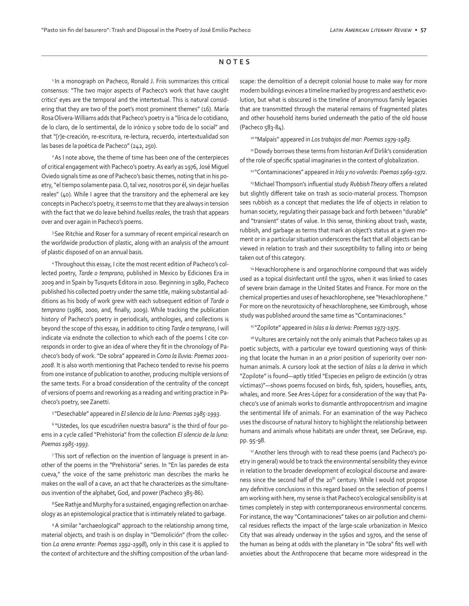#### **NOTES**

<sup>1</sup> In a monograph on Pacheco, Ronald J. Friis summarizes this critical consensus: "The two major aspects of Pacheco's work that have caught critics' eyes are the temporal and the intertextual. This is natural considering that they are two of the poet's most prominent themes" (16). María Rosa Olivera-Williams adds that Pacheco's poetry is a "lírica de lo cotidiano, de lo claro, de lo sentimental, de lo irónico y sobre todo de lo social" and that "[r]e-creación, re-escritura, re-lectura, recuerdo, intertextualidad son las bases de la poética de Pacheco" (242, 250).

<sup>2</sup> As I note above, the theme of time has been one of the centerpieces of critical engagement with Pacheco's poetry. As early as 1976, José Miguel Oviedo signals time as one of Pacheco's basic themes, noting that in his poetry, "el tiempo solamente pasa. O, tal vez, nosotros por él, sin dejar huellas reales" (40). While I agree that the transitory and the ephemeral are key concepts in Pacheco's poetry, it seems to me that they are always in tension with the fact that we do leave behind *huellas reales*, the trash that appears over and over again in Pacheco's poems.

<sup>3</sup> See Ritchie and Roser for a summary of recent empirical research on the worldwide production of plastic, along with an analysis of the amount of plastic disposed of on an annual basis.

4 Throughout this essay, I cite the most recent edition of Pacheco's collected poetry, *Tarde o temprano*, published in Mexico by Ediciones Era in 2009 and in Spain by Tusquets Editora in 2010. Beginning in 1980, Pacheco published his collected poetry under the same title, making substantial additions as his body of work grew with each subsequent edition of *Tarde o temprano* (1986, 2000, and, finally, 2009). While tracking the publication history of Pacheco's poetry in periodicals, anthologies, and collections is beyond the scope of this essay, in addition to citing *Tarde o temprano*, I will indicate via endnote the collection to which each of the poems I cite corresponds in order to give an idea of where they fit in the chronology of Pacheco's body of work. "De sobra" appeared in *Como la lluvia: Poemas 2001- 2008*. It is also worth mentioning that Pacheco tended to revise his poems from one instance of publication to another, producing multiple versions of the same texts. For a broad consideration of the centrality of the concept of versions of poems and reworking as a reading and writing practice in Pacheco's poetry, see Zanetti.

5 "Desechable" appeared in *El silencio de la luna: Poemas 1985-1993*.

<sup>6</sup> "Ustedes, los que escudriñen nuestra basura" is the third of four poems in a cycle called "Prehistoria" from the collection *El silencio de la luna: Poemas 1985-1993*.

7 This sort of reflection on the invention of language is present in another of the poems in the "Prehistoria" series. In "En las paredes de esta cueva," the voice of the same prehistoric man describes the marks he makes on the wall of a cave, an act that he characterizes as the simultaneous invention of the alphabet, God, and power (Pacheco 385-86).

<sup>8</sup> See Rathje and Murphy for a sustained, engaging reflection on archaeology as an epistemological practice that is intimately related to garbage.

<sup>9</sup> A similar "archaeological" approach to the relationship among time, material objects, and trash is on display in "Demolición" (from the collection *La arena errante: Poemas 1992-1998*), only in this case it is applied to the context of architecture and the shifting composition of the urban landscape: the demolition of a decrepit colonial house to make way for more modern buildings evinces a timeline marked by progress and aesthetic evolution, but what is obscured is the timeline of anonymous family legacies that are transmitted through the material remains of fragmented plates and other household items buried underneath the patio of the old house (Pacheco 583-84).

10 "Malpaís" appeared in *Los trabajos del mar: Poemas 1979-1983*.

<sup>11</sup> Dowdy borrows these terms from historian Arif Dirlik's consideration of the role of specific spatial imaginaries in the context of globalization.

12 "Contaminaciones" appeared in *Irás y no volverás: Poemas 1969-1972*.

<sup>13</sup>Michael Thompson's influential study *Rubbish Theory* offers a related but slightly different take on trash as socio-material process. Thompson sees rubbish as a concept that mediates the life of objects in relation to human society, regulating their passage back and forth between "durable" and "transient" states of value. In this sense, thinking about trash, waste, rubbish, and garbage as terms that mark an object's status at a given moment or in a particular situation underscores the fact that all objects can be viewed in relation to trash and their susceptibility to falling into or being taken out of this category.

<sup>14</sup> Hexachlorophene is and organochlorine compound that was widely used as a topical disinfectant until the 1970s, when it was linked to cases of severe brain damage in the United States and France. For more on the chemical properties and uses of hexachlorophene, see "Hexachlorophene." For more on the neurotoxicity of hexachlorophene, see Kimbrough, whose study was published around the same time as "Contaminaciones."

15 "Zopilote" appeared in *Islas a la deriva: Poemas 1973-1975*.

<sup>16</sup> Vultures are certainly not the only animals that Pacheco takes up as poetic subjects, with a particular eye toward questioning ways of thinking that locate the human in an *a priori* position of superiority over nonhuman animals. A cursory look at the section of *Islas a la deriva* in which "Zopilote" is found—aptly titled "Especies en peligro de extinción (y otras víctimas)"—shows poems focused on birds, fish, spiders, houseflies, ants, whales, and more. See Ares-López for a consideration of the way that Pacheco's use of animals works to dismantle anthropocentrism and imagine the sentimental life of animals. For an examination of the way Pacheco uses the discourse of natural history to highlight the relationship between humans and animals whose habitats are under threat, see DeGrave, esp. pp. 95-98.

<sup>17</sup> Another lens through with to read these poems (and Pacheco's poetry in general) would be to track the environmental sensibility they evince in relation to the broader development of ecological discourse and awareness since the second half of the 20<sup>th</sup> century. While I would not propose any definitive conclusions in this regard based on the selection of poems I am working with here, my sense is that Pacheco's ecological sensibility is at times completely in step with contemporaneous environmental concerns. For instance, the way "Contaminaciones" takes on air pollution and chemical residues reflects the impact of the large-scale urbanization in Mexico City that was already underway in the 1960s and 1970s, and the sense of the human as being at odds with the planetary in "De sobra" fits well with anxieties about the Anthropocene that became more widespread in the